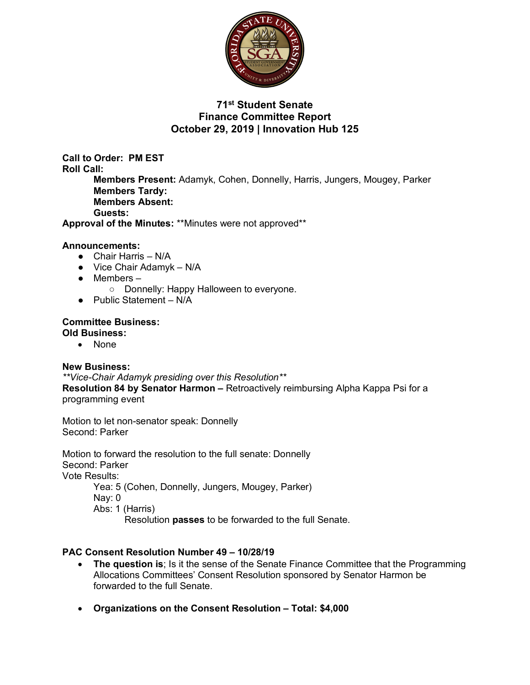

## **71st Student Senate Finance Committee Report October 29, 2019 | Innovation Hub 125**

**Call to Order: PM EST Roll Call: Members Present:** Adamyk, Cohen, Donnelly, Harris, Jungers, Mougey, Parker **Members Tardy: Members Absent: Guests: Approval of the Minutes:** \*\*Minutes were not approved\*\*

### **Announcements:**

- Chair Harris N/A
- $\bullet$  Vice Chair Adamyk N/A
- Members
	- Donnelly: Happy Halloween to everyone.
- Public Statement N/A

#### **Committee Business: Old Business:**

• None

#### **New Business:**

*\*\*Vice-Chair Adamyk presiding over this Resolution\*\**

**Resolution 84 by Senator Harmon –** Retroactively reimbursing Alpha Kappa Psi for a programming event

Motion to let non-senator speak: Donnelly Second: Parker

Motion to forward the resolution to the full senate: Donnelly Second: Parker Vote Results: Yea: 5 (Cohen, Donnelly, Jungers, Mougey, Parker)

Nay: 0 Abs: 1 (Harris)

Resolution **passes** to be forwarded to the full Senate.

### **PAC Consent Resolution Number 49 – 10/28/19**

- **The question is**; Is it the sense of the Senate Finance Committee that the Programming Allocations Committees' Consent Resolution sponsored by Senator Harmon be forwarded to the full Senate.
- **Organizations on the Consent Resolution – Total: \$4,000**